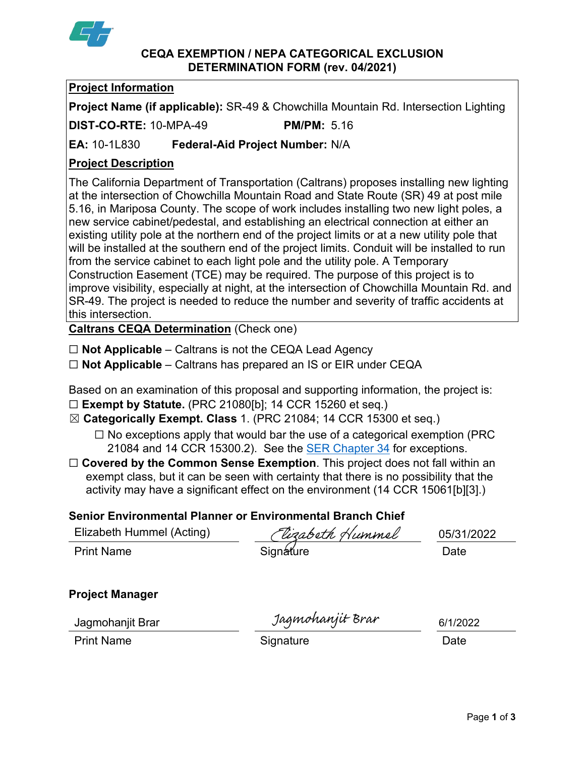

#### **CEQA EXEMPTION / NEPA CATEGORICAL EXCLUSION DETERMINATION FORM (rev. 04/2021)**

# **Project Information**

**Project Name (if applicable):** SR-49 & Chowchilla Mountain Rd. Intersection Lighting

**DIST-CO-RTE:** 10-MPA-49 **PM/PM:** 5.16

**EA:** 10-1L830 **Federal-Aid Project Number:** N/A

# **Project Description**

The California Department of Transportation (Caltrans) proposes installing new lighting at the intersection of Chowchilla Mountain Road and State Route (SR) 49 at post mile 5.16, in Mariposa County. The scope of work includes installing two new light poles, a new service cabinet/pedestal, and establishing an electrical connection at either an existing utility pole at the northern end of the project limits or at a new utility pole that will be installed at the southern end of the project limits. Conduit will be installed to run from the service cabinet to each light pole and the utility pole. A Temporary Construction Easement (TCE) may be required. The purpose of this project is to improve visibility, especially at night, at the intersection of Chowchilla Mountain Rd. and SR-49. The project is needed to reduce the number and severity of traffic accidents at this intersection.

**Caltrans CEQA Determination** (Check one)

- ☐ **Not Applicable** Caltrans is not the CEQA Lead Agency
- ☐ **Not Applicable** Caltrans has prepared an IS or EIR under CEQA

Based on an examination of this proposal and supporting information, the project is:

- ☐ **Exempt by Statute.** (PRC 21080[b]; 14 CCR 15260 et seq.)
- ☒ **Categorically Exempt. Class** 1. (PRC 21084; 14 CCR 15300 et seq.)
	- $\Box$  No exceptions apply that would bar the use of a categorical exemption (PRC 21084 and 14 CCR 15300.2). See the [SER Chapter 34](https://dot.ca.gov/programs/environmental-analysis/standard-environmental-reference-ser/volume-1-guidance-for-compliance/ch-34-exemptions-to-ceqa#except) for exceptions.
- □ **Covered by the Common Sense Exemption**. This project does not fall within an exempt class, but it can be seen with certainty that there is no possibility that the activity may have a significant effect on the environment (14 CCR 15061[b][3].)

# **Senior Environmental Planner or Environmental Branch Chief**

| Elizabeth Hummel (Acting) | (Vizabeth Hummel | 05/31/2022 |
|---------------------------|------------------|------------|
| <b>Print Name</b>         | Signature        | Date       |
|                           |                  |            |
| __                        |                  |            |

# **Project Manager**

Jagmohanjit Brar

de Jagmohanjit Brar Magnohanjit Brar 1991/20<br>Print Name **Date** Date

6/1/2022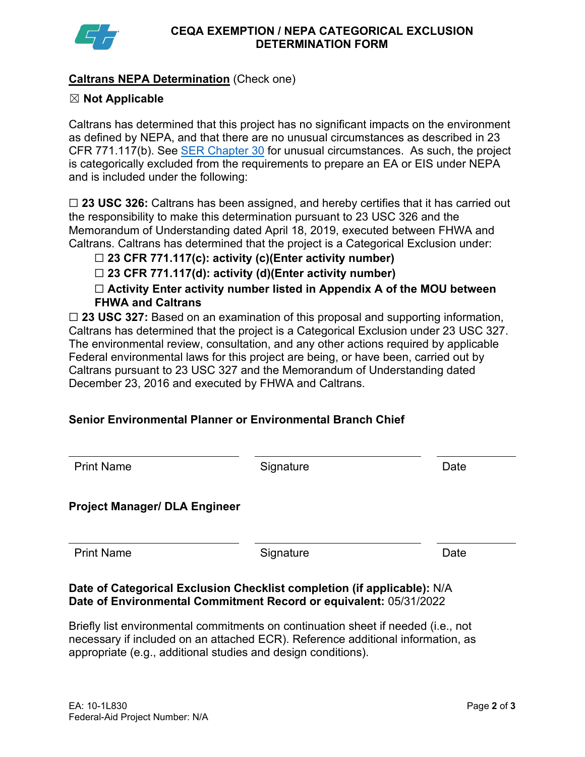

### **Caltrans NEPA Determination** (Check one)

### ☒ **Not Applicable**

Caltrans has determined that this project has no significant impacts on the environment as defined by NEPA, and that there are no unusual circumstances as described in 23 CFR 771.117(b). See [SER Chapter 30](https://dot.ca.gov/programs/environmental-analysis/standard-environmental-reference-ser/volume-1-guidance-for-compliance/ch-30-categorical-exclusions#exception) for unusual circumstances. As such, the project is categorically excluded from the requirements to prepare an EA or EIS under NEPA and is included under the following:

☐ **23 USC 326:** Caltrans has been assigned, and hereby certifies that it has carried out the responsibility to make this determination pursuant to 23 USC 326 and the Memorandum of Understanding dated April 18, 2019, executed between FHWA and Caltrans. Caltrans has determined that the project is a Categorical Exclusion under:

### ☐ **23 CFR 771.117(c): activity (c)(Enter activity number)**

☐ **23 CFR 771.117(d): activity (d)(Enter activity number)**

☐ **Activity Enter activity number listed in Appendix A of the MOU between FHWA and Caltrans**

□ 23 USC 327: Based on an examination of this proposal and supporting information, Caltrans has determined that the project is a Categorical Exclusion under 23 USC 327. The environmental review, consultation, and any other actions required by applicable Federal environmental laws for this project are being, or have been, carried out by Caltrans pursuant to 23 USC 327 and the Memorandum of Understanding dated December 23, 2016 and executed by FHWA and Caltrans.

# **Senior Environmental Planner or Environmental Branch Chief**

| Date      |
|-----------|
|           |
| Date      |
| Signature |

### **Date of Categorical Exclusion Checklist completion (if applicable):** N/A **Date of Environmental Commitment Record or equivalent:** 05/31/2022

Briefly list environmental commitments on continuation sheet if needed (i.e., not necessary if included on an attached ECR). Reference additional information, as appropriate (e.g., additional studies and design conditions).